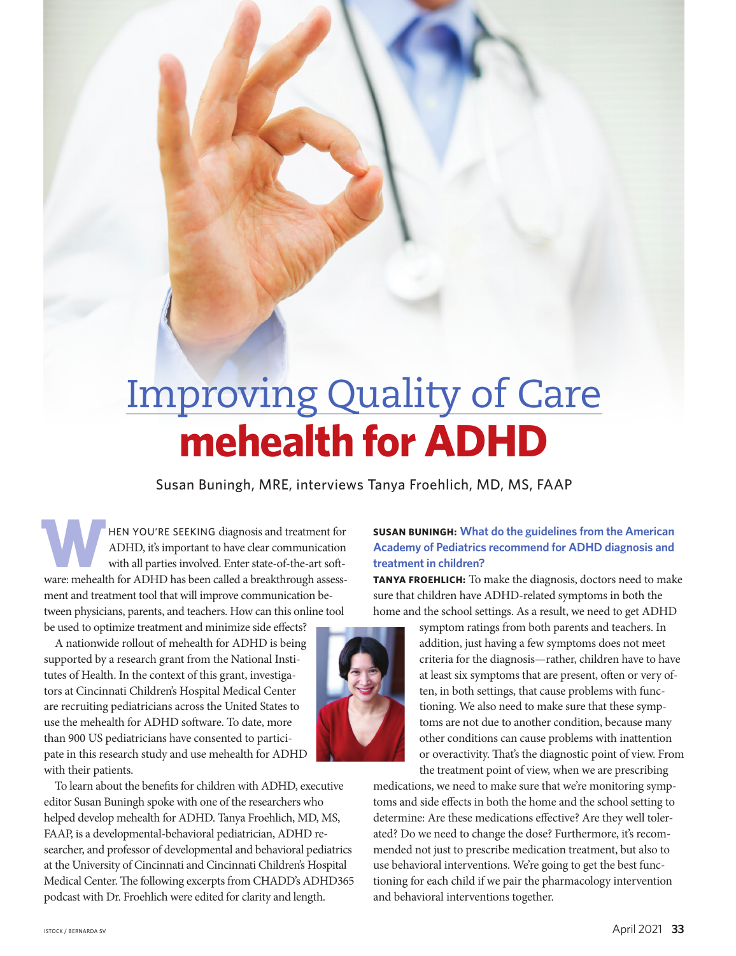# Improving Quality of Care **mehealth for ADHD**

Susan Buningh, MRE, interviews Tanya Froehlich, MD, MS, FAAP

**WHEN YOU'RE SEEKING diagnosis and treatment for ADHD, it's important to have clear communication with all parties involved. Enter state-of-the-art software: mehealth for ADHD has been called a breakthrough assess-**ADHD, it's important to have clear communication with all parties involved. Enter state-of-the-art softment and treatment tool that will improve communication between physicians, parents, and teachers. How can this online tool be used to optimize treatment and minimize side effects?

A nationwide rollout of mehealth for ADHD is being supported by a research grant from the National Institutes of Health. In the context of this grant, investigators at Cincinnati Children's Hospital Medical Center are recruiting pediatricians across the United States to use the mehealth for ADHD software. To date, more than 900 US pediatricians have consented to participate in this research study and use mehealth for ADHD with their patients.

To learn about the benefits for children with ADHD, executive editor Susan Buningh spoke with one of the researchers who helped develop mehealth for ADHD. Tanya Froehlich, MD, MS, FAAP, is a developmental-behavioral pediatrician, ADHD researcher, and professor of developmental and behavioral pediatrics at the University of Cincinnati and Cincinnati Children's Hospital Medical Center. The following excerpts from CHADD's ADHD365 podcast with Dr. Froehlich were edited for clarity and length.

## **SUSAN BUNINGH: What do the guidelines from the American Academy of Pediatrics recommend for ADHD diagnosis and treatment in children?**

**TANYA FROEHLICH:** To make the diagnosis, doctors need to make sure that children have ADHD-related symptoms in both the home and the school settings. As a result, we need to get ADHD



symptom ratings from both parents and teachers. In addition, just having a few symptoms does not meet criteria for the diagnosis—rather, children have to have at least six symptoms that are present, often or very often, in both settings, that cause problems with functioning. We also need to make sure that these symptoms are not due to another condition, because many other conditions can cause problems with inattention or overactivity. That's the diagnostic point of view. From the treatment point of view, when we are prescribing

medications, we need to make sure that we're monitoring symptoms and side effects in both the home and the school setting to determine: Are these medications effective? Are they well tolerated? Do we need to change the dose? Furthermore, it's recommended not just to prescribe medication treatment, but also to use behavioral interventions. We're going to get the best functioning for each child if we pair the pharmacology intervention and behavioral interventions together.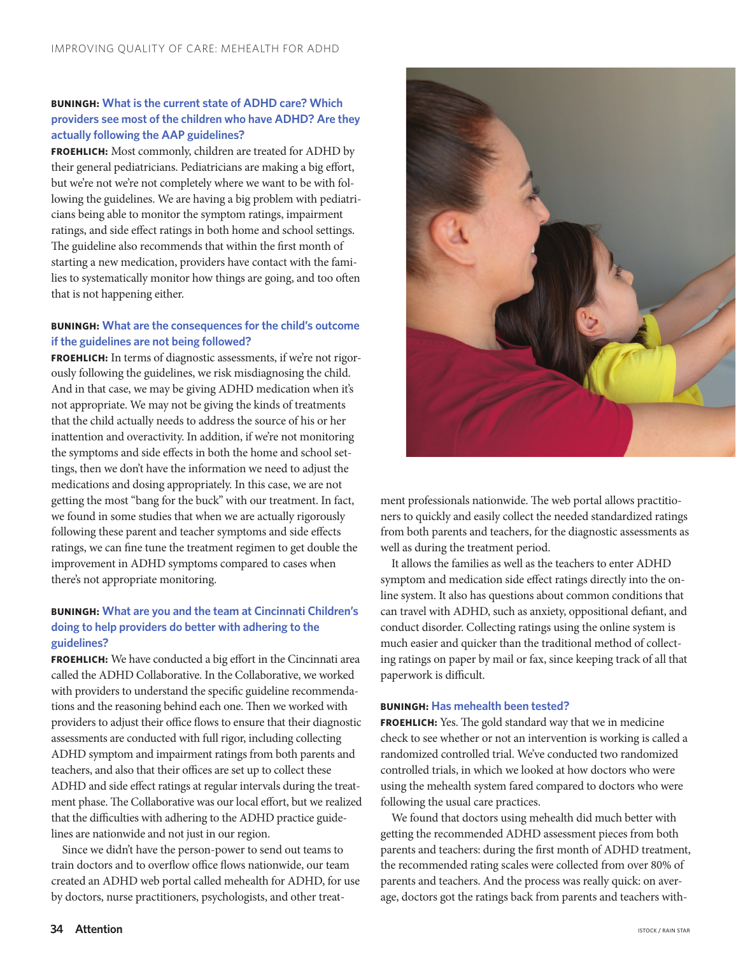## **BUNINGH: What is the current state of ADHD care? Which providers see most of the children who have ADHD? Are they actually following the AAP guidelines?**

**FROEHLICH:** Most commonly, children are treated for ADHD by their general pediatricians. Pediatricians are making a big effort, but we're not we're not completely where we want to be with following the guidelines. We are having a big problem with pediatricians being able to monitor the symptom ratings, impairment ratings, and side effect ratings in both home and school settings. The guideline also recommends that within the first month of starting a new medication, providers have contact with the families to systematically monitor how things are going, and too often that is not happening either.

## **BUNINGH: What are the consequences for the child's outcome if the guidelines are not being followed?**

**FROEHLICH:** In terms of diagnostic assessments, if we're not rigorously following the guidelines, we risk misdiagnosing the child. And in that case, we may be giving ADHD medication when it's not appropriate. We may not be giving the kinds of treatments that the child actually needs to address the source of his or her inattention and overactivity. In addition, if we're not monitoring the symptoms and side effects in both the home and school settings, then we don't have the information we need to adjust the medications and dosing appropriately. In this case, we are not getting the most "bang for the buck" with our treatment. In fact, we found in some studies that when we are actually rigorously following these parent and teacher symptoms and side effects ratings, we can fine tune the treatment regimen to get double the improvement in ADHD symptoms compared to cases when there's not appropriate monitoring.

## **BUNINGH: What are you and the team at Cincinnati Children's doing to help providers do better with adhering to the guidelines?**

**FROEHLICH:** We have conducted a big effort in the Cincinnati area called the ADHD Collaborative. In the Collaborative, we worked with providers to understand the specific guideline recommendations and the reasoning behind each one. Then we worked with providers to adjust their office flows to ensure that their diagnostic assessments are conducted with full rigor, including collecting ADHD symptom and impairment ratings from both parents and teachers, and also that their offices are set up to collect these ADHD and side effect ratings at regular intervals during the treatment phase. The Collaborative was our local effort, but we realized that the difficulties with adhering to the ADHD practice guidelines are nationwide and not just in our region.

Since we didn't have the person-power to send out teams to train doctors and to overflow office flows nationwide, our team created an ADHD web portal called mehealth for ADHD, for use by doctors, nurse practitioners, psychologists, and other treat-



ment professionals nationwide. The web portal allows practitioners to quickly and easily collect the needed standardized ratings from both parents and teachers, for the diagnostic assessments as well as during the treatment period.

It allows the families as well as the teachers to enter ADHD symptom and medication side effect ratings directly into the online system. It also has questions about common conditions that can travel with ADHD, such as anxiety, oppositional defiant, and conduct disorder. Collecting ratings using the online system is much easier and quicker than the traditional method of collecting ratings on paper by mail or fax, since keeping track of all that paperwork is difficult.

### **BUNINGH: Has mehealth been tested?**

**FROEHLICH:** Yes. The gold standard way that we in medicine check to see whether or not an intervention is working is called a randomized controlled trial. We've conducted two randomized controlled trials, in which we looked at how doctors who were using the mehealth system fared compared to doctors who were following the usual care practices.

We found that doctors using mehealth did much better with getting the recommended ADHD assessment pieces from both parents and teachers: during the first month of ADHD treatment, the recommended rating scales were collected from over 80% of parents and teachers. And the process was really quick: on average, doctors got the ratings back from parents and teachers with-